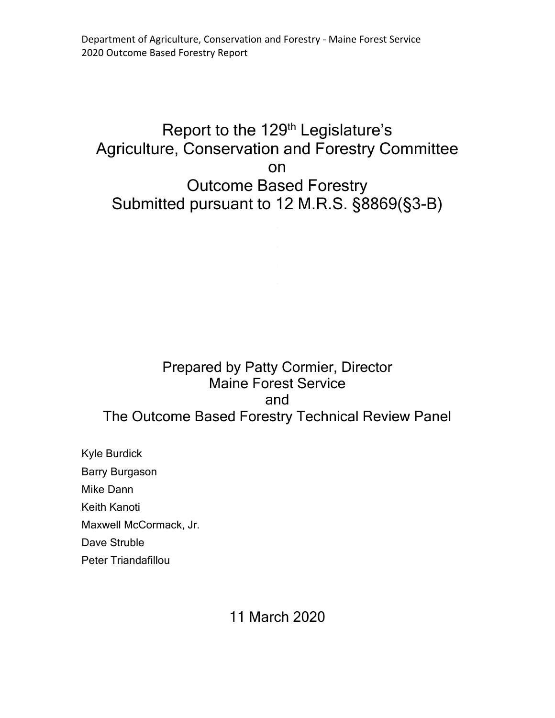# Report to the 129<sup>th</sup> Legislature's Agriculture, Conservation and Forestry Committee on Outcome Based Forestry Submitted pursuant to 12 M.R.S. §8869(§3-B)

# Prepared by Patty Cormier, Director Maine Forest Service and The Outcome Based Forestry Technical Review Panel

Kyle Burdick Barry Burgason Mike Dann Keith Kanoti Maxwell McCormack, Jr. Dave Struble Peter Triandafillou

11 March 2020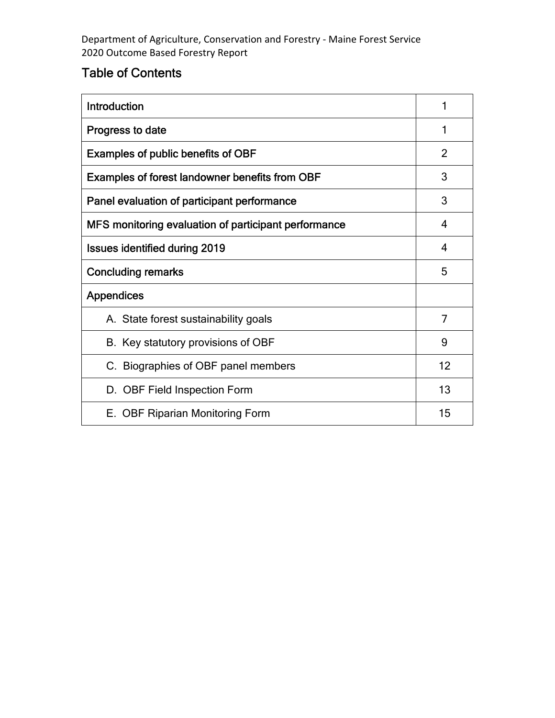# Table of Contents

| <b>Introduction</b>                                   |    |  |  |
|-------------------------------------------------------|----|--|--|
| Progress to date                                      |    |  |  |
| <b>Examples of public benefits of OBF</b>             |    |  |  |
| <b>Examples of forest landowner benefits from OBF</b> |    |  |  |
| Panel evaluation of participant performance           |    |  |  |
| MFS monitoring evaluation of participant performance  |    |  |  |
| <b>Issues identified during 2019</b>                  |    |  |  |
| <b>Concluding remarks</b>                             |    |  |  |
| <b>Appendices</b>                                     |    |  |  |
| A. State forest sustainability goals                  | 7  |  |  |
| B. Key statutory provisions of OBF                    | 9  |  |  |
| C. Biographies of OBF panel members                   | 12 |  |  |
| D. OBF Field Inspection Form                          | 13 |  |  |
| E. OBF Riparian Monitoring Form                       | 15 |  |  |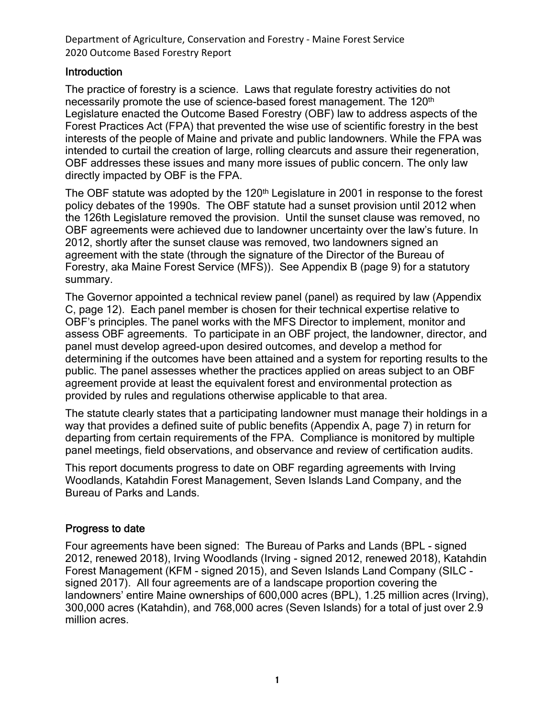#### **Introduction**

The practice of forestry is a science. Laws that regulate forestry activities do not necessarily promote the use of science-based forest management. The 120<sup>th</sup> Legislature enacted the Outcome Based Forestry (OBF) law to address aspects of the Forest Practices Act (FPA) that prevented the wise use of scientific forestry in the best interests of the people of Maine and private and public landowners. While the FPA was intended to curtail the creation of large, rolling clearcuts and assure their regeneration, OBF addresses these issues and many more issues of public concern. The only law directly impacted by OBF is the FPA.

The OBF statute was adopted by the 120<sup>th</sup> Legislature in 2001 in response to the forest policy debates of the 1990s. The OBF statute had a sunset provision until 2012 when the 126th Legislature removed the provision. Until the sunset clause was removed, no OBF agreements were achieved due to landowner uncertainty over the law's future. In 2012, shortly after the sunset clause was removed, two landowners signed an agreement with the state (through the signature of the Director of the Bureau of Forestry, aka Maine Forest Service (MFS)). See Appendix B (page 9) for a statutory summary.

The Governor appointed a technical review panel (panel) as required by law (Appendix C, page 12). Each panel member is chosen for their technical expertise relative to OBF's principles. The panel works with the MFS Director to implement, monitor and assess OBF agreements. To participate in an OBF project, the landowner, director, and panel must develop agreed-upon desired outcomes, and develop a method for determining if the outcomes have been attained and a system for reporting results to the public. The panel assesses whether the practices applied on areas subject to an OBF agreement provide at least the equivalent forest and environmental protection as provided by rules and regulations otherwise applicable to that area.

The statute clearly states that a participating landowner must manage their holdings in a way that provides a defined suite of public benefits (Appendix A, page 7) in return for departing from certain requirements of the FPA. Compliance is monitored by multiple panel meetings, field observations, and observance and review of certification audits.

This report documents progress to date on OBF regarding agreements with Irving Woodlands, Katahdin Forest Management, Seven Islands Land Company, and the Bureau of Parks and Lands.

## Progress to date

Four agreements have been signed: The Bureau of Parks and Lands (BPL - signed 2012, renewed 2018), Irving Woodlands (Irving - signed 2012, renewed 2018), Katahdin Forest Management (KFM - signed 2015), and Seven Islands Land Company (SILC signed 2017). All four agreements are of a landscape proportion covering the landowners' entire Maine ownerships of 600,000 acres (BPL), 1.25 million acres (Irving), 300,000 acres (Katahdin), and 768,000 acres (Seven Islands) for a total of just over 2.9 million acres.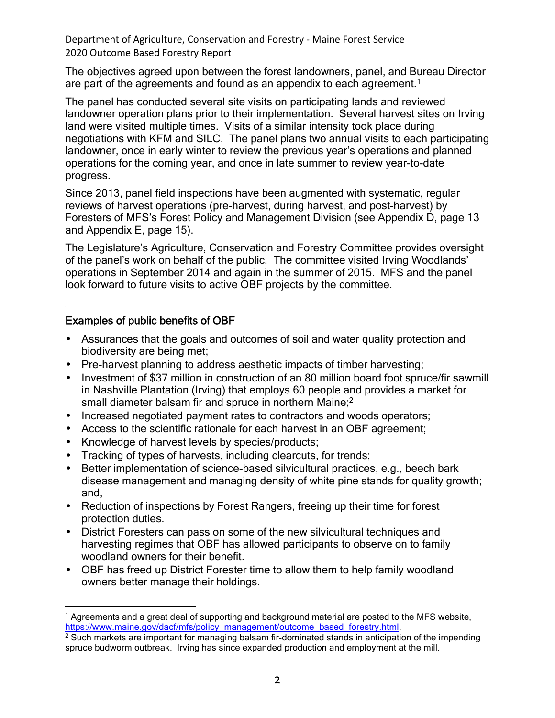The objectives agreed upon between the forest landowners, panel, and Bureau Director are part of the agreements and found as an appendix to each agreement.<sup>1</sup>

The panel has conducted several site visits on participating lands and reviewed landowner operation plans prior to their implementation. Several harvest sites on Irving land were visited multiple times. Visits of a similar intensity took place during negotiations with KFM and SILC. The panel plans two annual visits to each participating landowner, once in early winter to review the previous year's operations and planned operations for the coming year, and once in late summer to review year-to-date progress.

Since 2013, panel field inspections have been augmented with systematic, regular reviews of harvest operations (pre-harvest, during harvest, and post-harvest) by Foresters of MFS's Forest Policy and Management Division (see Appendix D, page 13 and Appendix E, page 15).

The Legislature's Agriculture, Conservation and Forestry Committee provides oversight of the panel's work on behalf of the public. The committee visited Irving Woodlands' operations in September 2014 and again in the summer of 2015. MFS and the panel look forward to future visits to active OBF projects by the committee.

## Examples of public benefits of OBF

 $\overline{a}$ 

- Assurances that the goals and outcomes of soil and water quality protection and biodiversity are being met;
- Pre-harvest planning to address aesthetic impacts of timber harvesting;
- Investment of \$37 million in construction of an 80 million board foot spruce/fir sawmill in Nashville Plantation (Irving) that employs 60 people and provides a market for small diameter balsam fir and spruce in northern Maine;<sup>2</sup>
- Increased negotiated payment rates to contractors and woods operators;
- Access to the scientific rationale for each harvest in an OBF agreement;
- Knowledge of harvest levels by species/products;
- Tracking of types of harvests, including clearcuts, for trends;
- Better implementation of science-based silvicultural practices, e.g., beech bark disease management and managing density of white pine stands for quality growth; and,
- Reduction of inspections by Forest Rangers, freeing up their time for forest protection duties.
- District Foresters can pass on some of the new silvicultural techniques and harvesting regimes that OBF has allowed participants to observe on to family woodland owners for their benefit.
- OBF has freed up District Forester time to allow them to help family woodland owners better manage their holdings.

<sup>1</sup> Agreements and a great deal of supporting and background material are posted to the MFS website, https://www.maine.gov/dacf/mfs/policy\_management/outcome\_based\_forestry.html.

 $<sup>2</sup>$  Such markets are important for managing balsam fir-dominated stands in anticipation of the impending</sup> spruce budworm outbreak. Irving has since expanded production and employment at the mill.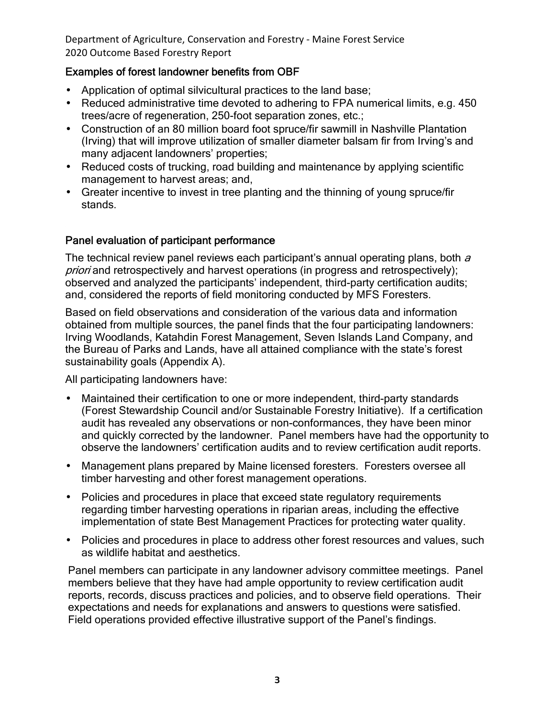## Examples of forest landowner benefits from OBF

- Application of optimal silvicultural practices to the land base;
- Reduced administrative time devoted to adhering to FPA numerical limits, e.g. 450 trees/acre of regeneration, 250-foot separation zones, etc.;
- Construction of an 80 million board foot spruce/fir sawmill in Nashville Plantation (Irving) that will improve utilization of smaller diameter balsam fir from Irving's and many adjacent landowners' properties;
- Reduced costs of trucking, road building and maintenance by applying scientific management to harvest areas; and,
- Greater incentive to invest in tree planting and the thinning of young spruce/fir stands.

## Panel evaluation of participant performance

The technical review panel reviews each participant's annual operating plans, both  $a$ priori and retrospectively and harvest operations (in progress and retrospectively); observed and analyzed the participants' independent, third-party certification audits; and, considered the reports of field monitoring conducted by MFS Foresters.

Based on field observations and consideration of the various data and information obtained from multiple sources, the panel finds that the four participating landowners: Irving Woodlands, Katahdin Forest Management, Seven Islands Land Company, and the Bureau of Parks and Lands, have all attained compliance with the state's forest sustainability goals (Appendix A).

All participating landowners have:

- Maintained their certification to one or more independent, third-party standards (Forest Stewardship Council and/or Sustainable Forestry Initiative). If a certification audit has revealed any observations or non-conformances, they have been minor and quickly corrected by the landowner. Panel members have had the opportunity to observe the landowners' certification audits and to review certification audit reports.
- Management plans prepared by Maine licensed foresters. Foresters oversee all timber harvesting and other forest management operations.
- Policies and procedures in place that exceed state regulatory requirements regarding timber harvesting operations in riparian areas, including the effective implementation of state Best Management Practices for protecting water quality.
- Policies and procedures in place to address other forest resources and values, such as wildlife habitat and aesthetics.

Panel members can participate in any landowner advisory committee meetings. Panel members believe that they have had ample opportunity to review certification audit reports, records, discuss practices and policies, and to observe field operations. Their expectations and needs for explanations and answers to questions were satisfied. Field operations provided effective illustrative support of the Panel's findings.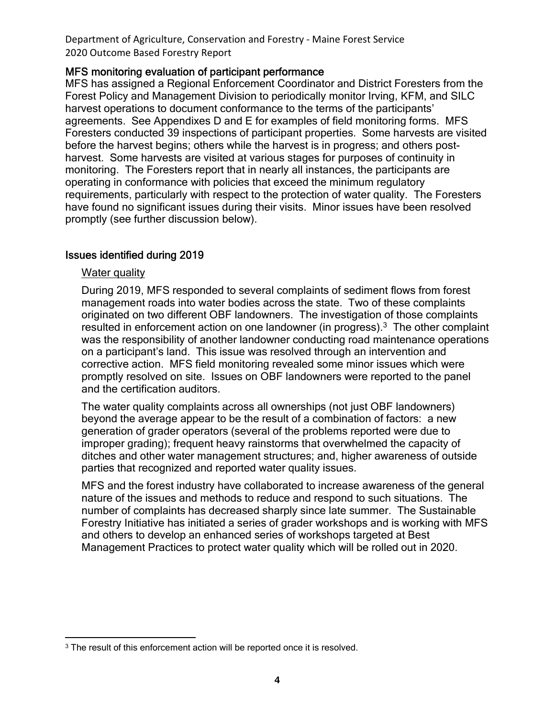#### MFS monitoring evaluation of participant performance

MFS has assigned a Regional Enforcement Coordinator and District Foresters from the Forest Policy and Management Division to periodically monitor Irving, KFM, and SILC harvest operations to document conformance to the terms of the participants' agreements. See Appendixes D and E for examples of field monitoring forms. MFS Foresters conducted 39 inspections of participant properties. Some harvests are visited before the harvest begins; others while the harvest is in progress; and others postharvest. Some harvests are visited at various stages for purposes of continuity in monitoring. The Foresters report that in nearly all instances, the participants are operating in conformance with policies that exceed the minimum regulatory requirements, particularly with respect to the protection of water quality. The Foresters have found no significant issues during their visits. Minor issues have been resolved promptly (see further discussion below).

#### Issues identified during 2019

#### Water quality

 $\overline{a}$ 

During 2019, MFS responded to several complaints of sediment flows from forest management roads into water bodies across the state. Two of these complaints originated on two different OBF landowners. The investigation of those complaints resulted in enforcement action on one landowner (in progress).<sup>3</sup> The other complaint was the responsibility of another landowner conducting road maintenance operations on a participant's land. This issue was resolved through an intervention and corrective action. MFS field monitoring revealed some minor issues which were promptly resolved on site. Issues on OBF landowners were reported to the panel and the certification auditors.

The water quality complaints across all ownerships (not just OBF landowners) beyond the average appear to be the result of a combination of factors: a new generation of grader operators (several of the problems reported were due to improper grading); frequent heavy rainstorms that overwhelmed the capacity of ditches and other water management structures; and, higher awareness of outside parties that recognized and reported water quality issues.

MFS and the forest industry have collaborated to increase awareness of the general nature of the issues and methods to reduce and respond to such situations. The number of complaints has decreased sharply since late summer. The Sustainable Forestry Initiative has initiated a series of grader workshops and is working with MFS and others to develop an enhanced series of workshops targeted at Best Management Practices to protect water quality which will be rolled out in 2020.

<sup>&</sup>lt;sup>3</sup> The result of this enforcement action will be reported once it is resolved.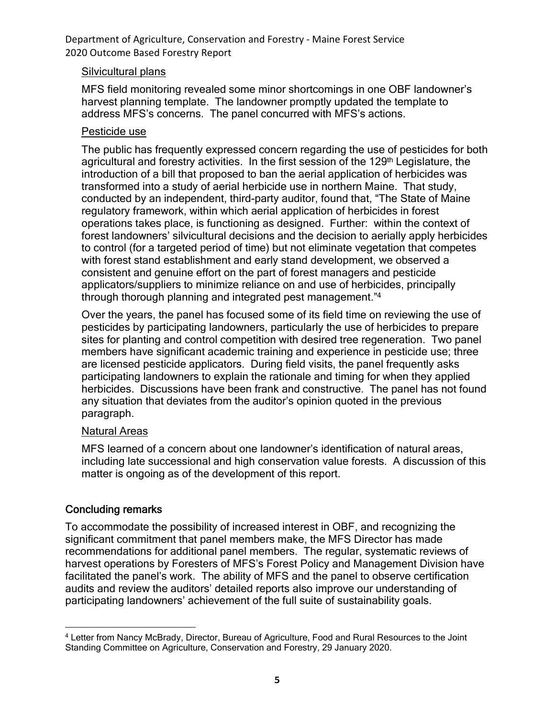#### Silvicultural plans

MFS field monitoring revealed some minor shortcomings in one OBF landowner's harvest planning template. The landowner promptly updated the template to address MFS's concerns. The panel concurred with MFS's actions.

## Pesticide use

The public has frequently expressed concern regarding the use of pesticides for both agricultural and forestry activities. In the first session of the 129<sup>th</sup> Legislature, the introduction of a bill that proposed to ban the aerial application of herbicides was transformed into a study of aerial herbicide use in northern Maine. That study, conducted by an independent, third-party auditor, found that, "The State of Maine regulatory framework, within which aerial application of herbicides in forest operations takes place, is functioning as designed. Further: within the context of forest landowners' silvicultural decisions and the decision to aerially apply herbicides to control (for a targeted period of time) but not eliminate vegetation that competes with forest stand establishment and early stand development, we observed a consistent and genuine effort on the part of forest managers and pesticide applicators/suppliers to minimize reliance on and use of herbicides, principally through thorough planning and integrated pest management."<sup>4</sup>

Over the years, the panel has focused some of its field time on reviewing the use of pesticides by participating landowners, particularly the use of herbicides to prepare sites for planting and control competition with desired tree regeneration. Two panel members have significant academic training and experience in pesticide use; three are licensed pesticide applicators. During field visits, the panel frequently asks participating landowners to explain the rationale and timing for when they applied herbicides. Discussions have been frank and constructive. The panel has not found any situation that deviates from the auditor's opinion quoted in the previous paragraph.

## Natural Areas

MFS learned of a concern about one landowner's identification of natural areas, including late successional and high conservation value forests. A discussion of this matter is ongoing as of the development of this report.

# Concluding remarks

 $\overline{a}$ 

To accommodate the possibility of increased interest in OBF, and recognizing the significant commitment that panel members make, the MFS Director has made recommendations for additional panel members. The regular, systematic reviews of harvest operations by Foresters of MFS's Forest Policy and Management Division have facilitated the panel's work. The ability of MFS and the panel to observe certification audits and review the auditors' detailed reports also improve our understanding of participating landowners' achievement of the full suite of sustainability goals.

<sup>4</sup> Letter from Nancy McBrady, Director, Bureau of Agriculture, Food and Rural Resources to the Joint Standing Committee on Agriculture, Conservation and Forestry, 29 January 2020.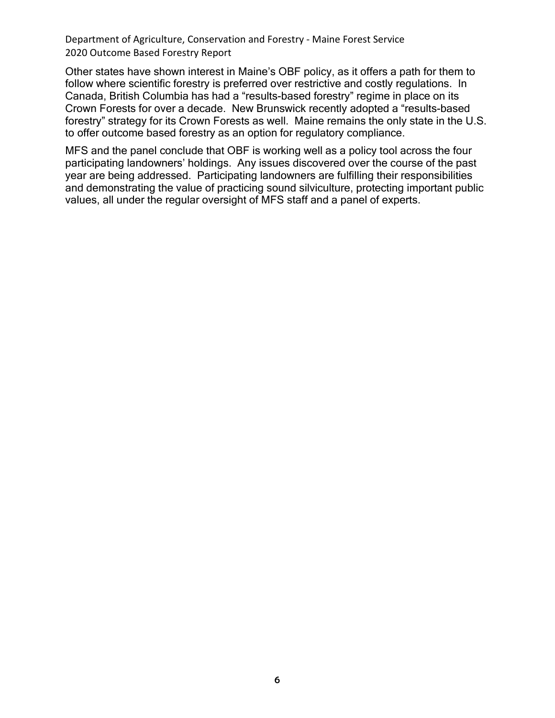Other states have shown interest in Maine's OBF policy, as it offers a path for them to follow where scientific forestry is preferred over restrictive and costly regulations. In Canada, British Columbia has had a "results-based forestry" regime in place on its Crown Forests for over a decade. New Brunswick recently adopted a "results-based forestry" strategy for its Crown Forests as well. Maine remains the only state in the U.S. to offer outcome based forestry as an option for regulatory compliance.

MFS and the panel conclude that OBF is working well as a policy tool across the four participating landowners' holdings. Any issues discovered over the course of the past year are being addressed. Participating landowners are fulfilling their responsibilities and demonstrating the value of practicing sound silviculture, protecting important public values, all under the regular oversight of MFS staff and a panel of experts.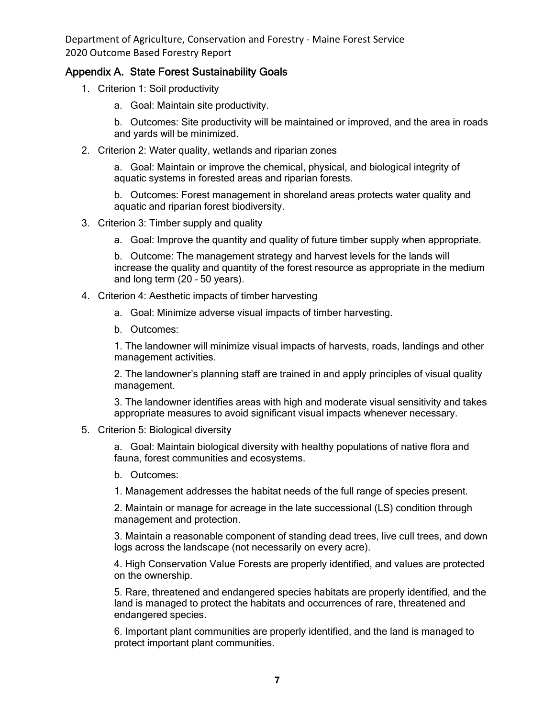#### Appendix A. State Forest Sustainability Goals

- 1. Criterion 1: Soil productivity
	- a. Goal: Maintain site productivity.

b. Outcomes: Site productivity will be maintained or improved, and the area in roads and yards will be minimized.

2. Criterion 2: Water quality, wetlands and riparian zones

a. Goal: Maintain or improve the chemical, physical, and biological integrity of aquatic systems in forested areas and riparian forests.

b. Outcomes: Forest management in shoreland areas protects water quality and aquatic and riparian forest biodiversity.

- 3. Criterion 3: Timber supply and quality
	- a. Goal: Improve the quantity and quality of future timber supply when appropriate.

b. Outcome: The management strategy and harvest levels for the lands will increase the quality and quantity of the forest resource as appropriate in the medium and long term (20 – 50 years).

- 4. Criterion 4: Aesthetic impacts of timber harvesting
	- a. Goal: Minimize adverse visual impacts of timber harvesting.
	- b. Outcomes:

1. The landowner will minimize visual impacts of harvests, roads, landings and other management activities.

2. The landowner's planning staff are trained in and apply principles of visual quality management.

3. The landowner identifies areas with high and moderate visual sensitivity and takes appropriate measures to avoid significant visual impacts whenever necessary.

5. Criterion 5: Biological diversity

a. Goal: Maintain biological diversity with healthy populations of native flora and fauna, forest communities and ecosystems.

b. Outcomes:

1. Management addresses the habitat needs of the full range of species present.

2. Maintain or manage for acreage in the late successional (LS) condition through management and protection.

3. Maintain a reasonable component of standing dead trees, live cull trees, and down logs across the landscape (not necessarily on every acre).

4. High Conservation Value Forests are properly identified, and values are protected on the ownership.

5. Rare, threatened and endangered species habitats are properly identified, and the land is managed to protect the habitats and occurrences of rare, threatened and endangered species.

6. Important plant communities are properly identified, and the land is managed to protect important plant communities.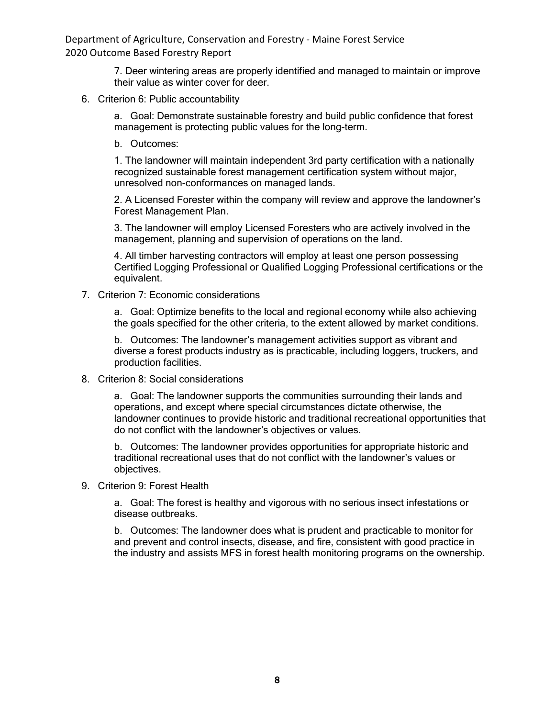> 7. Deer wintering areas are properly identified and managed to maintain or improve their value as winter cover for deer.

6. Criterion 6: Public accountability

a. Goal: Demonstrate sustainable forestry and build public confidence that forest management is protecting public values for the long-term.

b. Outcomes:

1. The landowner will maintain independent 3rd party certification with a nationally recognized sustainable forest management certification system without major, unresolved non-conformances on managed lands.

2. A Licensed Forester within the company will review and approve the landowner's Forest Management Plan.

3. The landowner will employ Licensed Foresters who are actively involved in the management, planning and supervision of operations on the land.

4. All timber harvesting contractors will employ at least one person possessing Certified Logging Professional or Qualified Logging Professional certifications or the equivalent.

7. Criterion 7: Economic considerations

a. Goal: Optimize benefits to the local and regional economy while also achieving the goals specified for the other criteria, to the extent allowed by market conditions.

b. Outcomes: The landowner's management activities support as vibrant and diverse a forest products industry as is practicable, including loggers, truckers, and production facilities.

8. Criterion 8: Social considerations

a. Goal: The landowner supports the communities surrounding their lands and operations, and except where special circumstances dictate otherwise, the landowner continues to provide historic and traditional recreational opportunities that do not conflict with the landowner's objectives or values.

b. Outcomes: The landowner provides opportunities for appropriate historic and traditional recreational uses that do not conflict with the landowner's values or objectives.

9. Criterion 9: Forest Health

a. Goal: The forest is healthy and vigorous with no serious insect infestations or disease outbreaks.

b. Outcomes: The landowner does what is prudent and practicable to monitor for and prevent and control insects, disease, and fire, consistent with good practice in the industry and assists MFS in forest health monitoring programs on the ownership.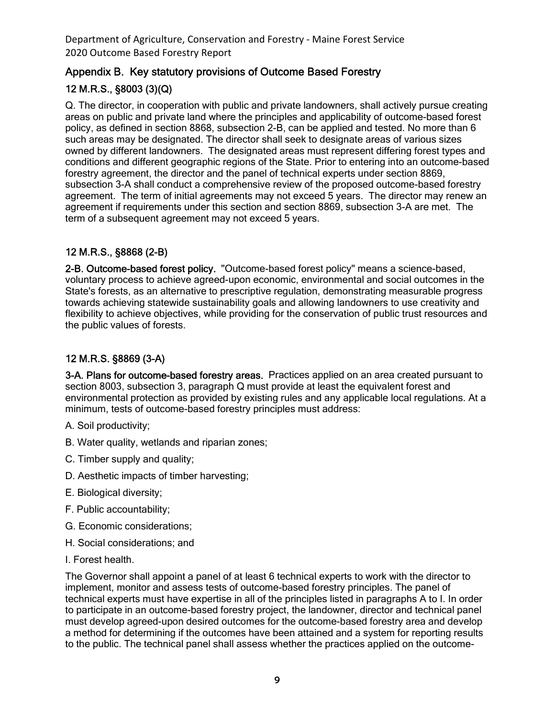## Appendix B. Key statutory provisions of Outcome Based Forestry

# 12 M.R.S., §8003 (3)(Q)

Q. The director, in cooperation with public and private landowners, shall actively pursue creating areas on public and private land where the principles and applicability of outcome-based forest policy, as defined in section 8868, subsection 2-B, can be applied and tested. No more than 6 such areas may be designated. The director shall seek to designate areas of various sizes owned by different landowners. The designated areas must represent differing forest types and conditions and different geographic regions of the State. Prior to entering into an outcome-based forestry agreement, the director and the panel of technical experts under section 8869, subsection 3-A shall conduct a comprehensive review of the proposed outcome-based forestry agreement. The term of initial agreements may not exceed 5 years. The director may renew an agreement if requirements under this section and section 8869, subsection 3-A are met. The term of a subsequent agreement may not exceed 5 years.

## 12 M.R.S., §8868 (2-B)

2-B. Outcome-based forest policy. "Outcome-based forest policy" means a science-based, voluntary process to achieve agreed-upon economic, environmental and social outcomes in the State's forests, as an alternative to prescriptive regulation, demonstrating measurable progress towards achieving statewide sustainability goals and allowing landowners to use creativity and flexibility to achieve objectives, while providing for the conservation of public trust resources and the public values of forests.

# 12 M.R.S. §8869 (3-A)

3-A. Plans for outcome-based forestry areas. Practices applied on an area created pursuant to section 8003, subsection 3, paragraph Q must provide at least the equivalent forest and environmental protection as provided by existing rules and any applicable local regulations. At a minimum, tests of outcome-based forestry principles must address:

- A. Soil productivity;
- B. Water quality, wetlands and riparian zones;
- C. Timber supply and quality;
- D. Aesthetic impacts of timber harvesting;
- E. Biological diversity;
- F. Public accountability;
- G. Economic considerations;
- H. Social considerations; and
- I. Forest health.

The Governor shall appoint a panel of at least 6 technical experts to work with the director to implement, monitor and assess tests of outcome-based forestry principles. The panel of technical experts must have expertise in all of the principles listed in paragraphs A to I. In order to participate in an outcome-based forestry project, the landowner, director and technical panel must develop agreed-upon desired outcomes for the outcome-based forestry area and develop a method for determining if the outcomes have been attained and a system for reporting results to the public. The technical panel shall assess whether the practices applied on the outcome-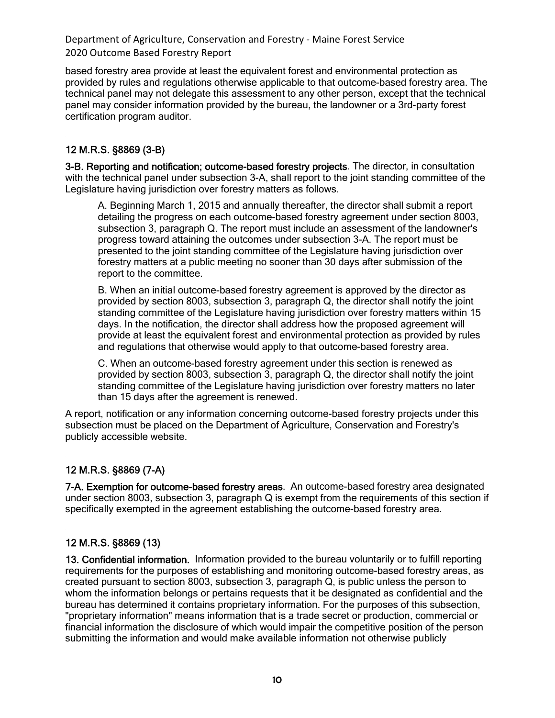based forestry area provide at least the equivalent forest and environmental protection as provided by rules and regulations otherwise applicable to that outcome-based forestry area. The technical panel may not delegate this assessment to any other person, except that the technical panel may consider information provided by the bureau, the landowner or a 3rd-party forest certification program auditor.

## 12 M.R.S. §8869 (3-B)

3-B. Reporting and notification; outcome-based forestry projects. The director, in consultation with the technical panel under subsection 3-A, shall report to the joint standing committee of the Legislature having jurisdiction over forestry matters as follows.

A. Beginning March 1, 2015 and annually thereafter, the director shall submit a report detailing the progress on each outcome-based forestry agreement under section 8003, subsection 3, paragraph Q. The report must include an assessment of the landowner's progress toward attaining the outcomes under subsection 3-A. The report must be presented to the joint standing committee of the Legislature having jurisdiction over forestry matters at a public meeting no sooner than 30 days after submission of the report to the committee.

B. When an initial outcome-based forestry agreement is approved by the director as provided by section 8003, subsection 3, paragraph Q, the director shall notify the joint standing committee of the Legislature having jurisdiction over forestry matters within 15 days. In the notification, the director shall address how the proposed agreement will provide at least the equivalent forest and environmental protection as provided by rules and regulations that otherwise would apply to that outcome-based forestry area.

C. When an outcome-based forestry agreement under this section is renewed as provided by section 8003, subsection 3, paragraph Q, the director shall notify the joint standing committee of the Legislature having jurisdiction over forestry matters no later than 15 days after the agreement is renewed.

A report, notification or any information concerning outcome-based forestry projects under this subsection must be placed on the Department of Agriculture, Conservation and Forestry's publicly accessible website.

# 12 M.R.S. §8869 (7-A)

7-A. Exemption for outcome-based forestry areas. An outcome-based forestry area designated under section 8003, subsection 3, paragraph Q is exempt from the requirements of this section if specifically exempted in the agreement establishing the outcome-based forestry area.

## 12 M.R.S. §8869 (13)

13. Confidential information. Information provided to the bureau voluntarily or to fulfill reporting requirements for the purposes of establishing and monitoring outcome-based forestry areas, as created pursuant to section 8003, subsection 3, paragraph Q, is public unless the person to whom the information belongs or pertains requests that it be designated as confidential and the bureau has determined it contains proprietary information. For the purposes of this subsection, "proprietary information" means information that is a trade secret or production, commercial or financial information the disclosure of which would impair the competitive position of the person submitting the information and would make available information not otherwise publicly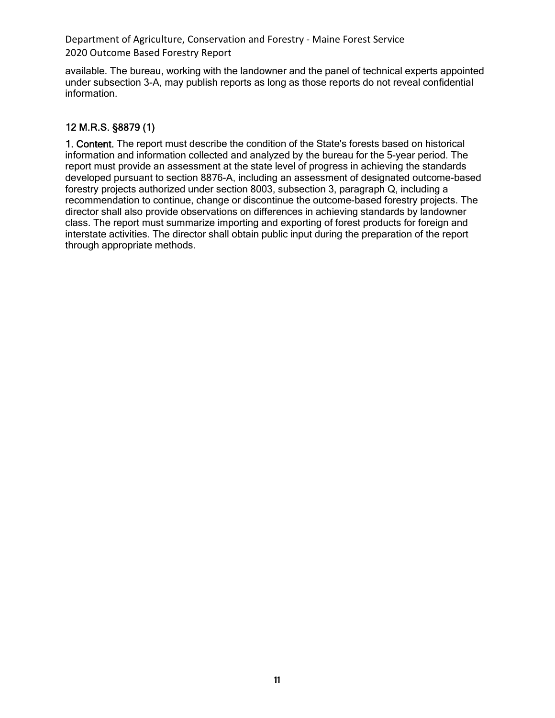available. The bureau, working with the landowner and the panel of technical experts appointed under subsection 3-A, may publish reports as long as those reports do not reveal confidential information.

## 12 M.R.S. §8879 (1)

1. Content. The report must describe the condition of the State's forests based on historical information and information collected and analyzed by the bureau for the 5-year period. The report must provide an assessment at the state level of progress in achieving the standards developed pursuant to section 8876-A, including an assessment of designated outcome-based forestry projects authorized under section 8003, subsection 3, paragraph Q, including a recommendation to continue, change or discontinue the outcome-based forestry projects. The director shall also provide observations on differences in achieving standards by landowner class. The report must summarize importing and exporting of forest products for foreign and interstate activities. The director shall obtain public input during the preparation of the report through appropriate methods.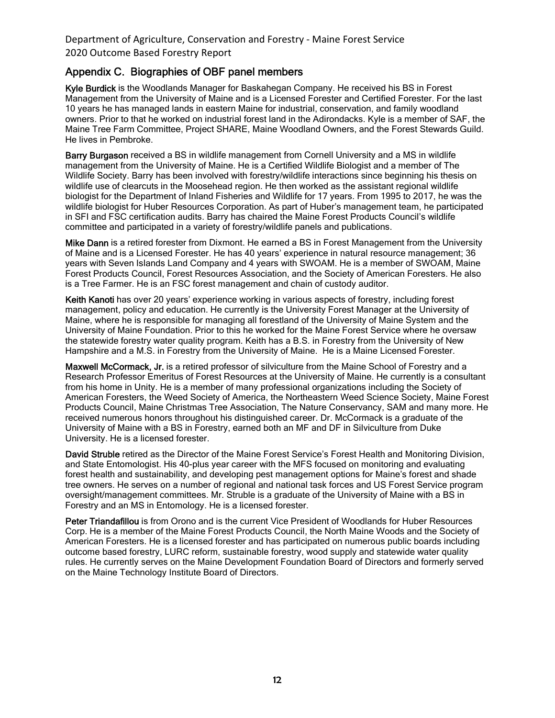#### Appendix C. Biographies of OBF panel members

Kyle Burdick is the Woodlands Manager for Baskahegan Company. He received his BS in Forest Management from the University of Maine and is a Licensed Forester and Certified Forester. For the last 10 years he has managed lands in eastern Maine for industrial, conservation, and family woodland owners. Prior to that he worked on industrial forest land in the Adirondacks. Kyle is a member of SAF, the Maine Tree Farm Committee, Project SHARE, Maine Woodland Owners, and the Forest Stewards Guild. He lives in Pembroke.

Barry Burgason received a BS in wildlife management from Cornell University and a MS in wildlife management from the University of Maine. He is a Certified Wildlife Biologist and a member of The Wildlife Society. Barry has been involved with forestry/wildlife interactions since beginning his thesis on wildlife use of clearcuts in the Moosehead region. He then worked as the assistant regional wildlife biologist for the Department of Inland Fisheries and Wildlife for 17 years. From 1995 to 2017, he was the wildlife biologist for Huber Resources Corporation. As part of Huber's management team, he participated in SFI and FSC certification audits. Barry has chaired the Maine Forest Products Council's wildlife committee and participated in a variety of forestry/wildlife panels and publications.

Mike Dann is a retired forester from Dixmont. He earned a BS in Forest Management from the University of Maine and is a Licensed Forester. He has 40 years' experience in natural resource management; 36 years with Seven Islands Land Company and 4 years with SWOAM. He is a member of SWOAM, Maine Forest Products Council, Forest Resources Association, and the Society of American Foresters. He also is a Tree Farmer. He is an FSC forest management and chain of custody auditor.

Keith Kanoti has over 20 years' experience working in various aspects of forestry, including forest management, policy and education. He currently is the University Forest Manager at the University of Maine, where he is responsible for managing all forestland of the University of Maine System and the University of Maine Foundation. Prior to this he worked for the Maine Forest Service where he oversaw the statewide forestry water quality program. Keith has a B.S. in Forestry from the University of New Hampshire and a M.S. in Forestry from the University of Maine. He is a Maine Licensed Forester.

Maxwell McCormack, Jr. is a retired professor of silviculture from the Maine School of Forestry and a Research Professor Emeritus of Forest Resources at the University of Maine. He currently is a consultant from his home in Unity. He is a member of many professional organizations including the Society of American Foresters, the Weed Society of America, the Northeastern Weed Science Society, Maine Forest Products Council, Maine Christmas Tree Association, The Nature Conservancy, SAM and many more. He received numerous honors throughout his distinguished career. Dr. McCormack is a graduate of the University of Maine with a BS in Forestry, earned both an MF and DF in Silviculture from Duke University. He is a licensed forester.

David Struble retired as the Director of the Maine Forest Service's Forest Health and Monitoring Division, and State Entomologist. His 40-plus year career with the MFS focused on monitoring and evaluating forest health and sustainability, and developing pest management options for Maine's forest and shade tree owners. He serves on a number of regional and national task forces and US Forest Service program oversight/management committees. Mr. Struble is a graduate of the University of Maine with a BS in Forestry and an MS in Entomology. He is a licensed forester.

Peter Triandafillou is from Orono and is the current Vice President of Woodlands for Huber Resources Corp. He is a member of the Maine Forest Products Council, the North Maine Woods and the Society of American Foresters. He is a licensed forester and has participated on numerous public boards including outcome based forestry, LURC reform, sustainable forestry, wood supply and statewide water quality rules. He currently serves on the Maine Development Foundation Board of Directors and formerly served on the Maine Technology Institute Board of Directors.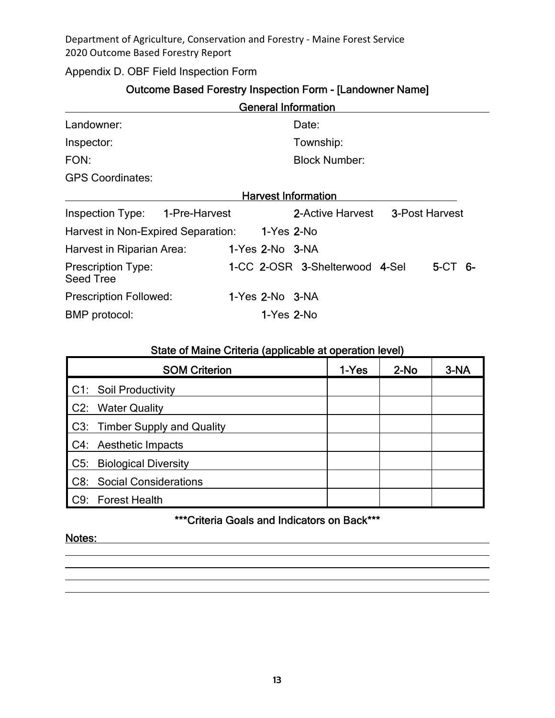Appendix D. OBF Field Inspection Form

## Outcome Based Forestry Inspection Form - [Landowner Name] General Information

|                               |                                                                      | Date:                |                                                                                                                                  |                                                    |                           |
|-------------------------------|----------------------------------------------------------------------|----------------------|----------------------------------------------------------------------------------------------------------------------------------|----------------------------------------------------|---------------------------|
|                               |                                                                      | Township:            |                                                                                                                                  |                                                    |                           |
|                               |                                                                      | <b>Block Number:</b> |                                                                                                                                  |                                                    |                           |
|                               |                                                                      |                      |                                                                                                                                  |                                                    |                           |
|                               |                                                                      |                      |                                                                                                                                  |                                                    |                           |
|                               |                                                                      |                      |                                                                                                                                  |                                                    |                           |
|                               |                                                                      |                      |                                                                                                                                  |                                                    |                           |
| Harvest in Riparian Area:     |                                                                      |                      |                                                                                                                                  |                                                    |                           |
|                               |                                                                      |                      |                                                                                                                                  |                                                    |                           |
| <b>Prescription Followed:</b> |                                                                      |                      |                                                                                                                                  |                                                    |                           |
|                               |                                                                      |                      |                                                                                                                                  |                                                    |                           |
|                               | Inspection Type: 1-Pre-Harvest<br>Harvest in Non-Expired Separation: |                      | acılcıal illivililatioli<br><b>Harvest Information</b><br>$1-Yes$ 2-No<br>1-Yes 2-No 3-NA<br>$1-Yes$ 2-No $3-NA$<br>$1-Yes$ 2-No | 2-Active Harvest<br>1-CC 2-OSR 3-Shelterwood 4-Sel | 3-Post Harvest<br>5-CT 6- |

| State of Maine Criteria (applicable at operation level) |  |
|---------------------------------------------------------|--|
|                                                         |  |

 $\blacksquare$ 

|    | <b>SOM Criterion</b>             | 1-Yes | $2-No$ | 3-NA |
|----|----------------------------------|-------|--------|------|
|    | C1: Soil Productivity            |       |        |      |
|    | C2: Water Quality                |       |        |      |
|    | C3: Timber Supply and Quality    |       |        |      |
|    | C4: Aesthetic Impacts            |       |        |      |
|    | C5: Biological Diversity         |       |        |      |
|    | <b>C8: Social Considerations</b> |       |        |      |
| C9 | <b>Forest Health</b>             |       |        |      |

# \*\*\*Criteria Goals and Indicators on Back\*\*\*

#### Notes:

 $\overline{a}$  $\overline{a}$  $\overline{a}$  $\overline{a}$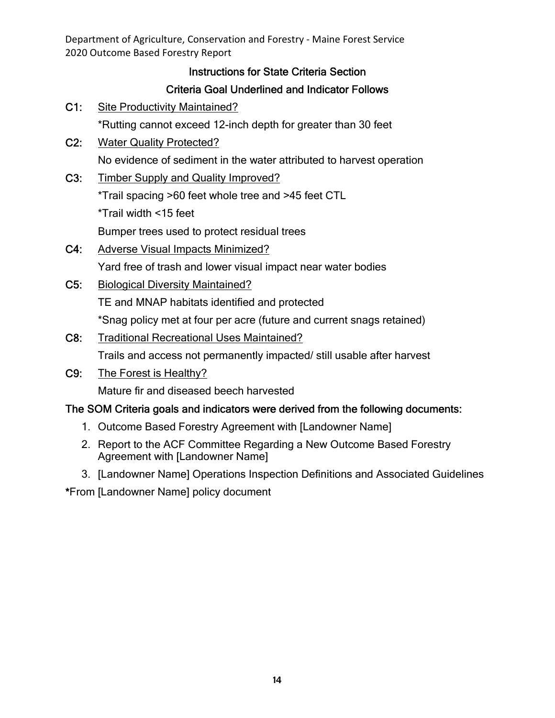## Instructions for State Criteria Section

# Criteria Goal Underlined and Indicator Follows

C1: Site Productivity Maintained?

\*Rutting cannot exceed 12-inch depth for greater than 30 feet

- C2: Water Quality Protected? No evidence of sediment in the water attributed to harvest operation
- C3: Timber Supply and Quality Improved? \*Trail spacing >60 feet whole tree and >45 feet CTL \*Trail width <15 feet

Bumper trees used to protect residual trees

- C4: Adverse Visual Impacts Minimized? Yard free of trash and lower visual impact near water bodies
- C5: Biological Diversity Maintained? TE and MNAP habitats identified and protected \*Snag policy met at four per acre (future and current snags retained)
- C8: Traditional Recreational Uses Maintained? Trails and access not permanently impacted/ still usable after harvest
- C9: The Forest is Healthy?

Mature fir and diseased beech harvested

# The SOM Criteria goals and indicators were derived from the following documents:

- 1. Outcome Based Forestry Agreement with [Landowner Name]
- 2. Report to the ACF Committee Regarding a New Outcome Based Forestry Agreement with [Landowner Name]
- 3. [Landowner Name] Operations Inspection Definitions and Associated Guidelines

\*From [Landowner Name] policy document